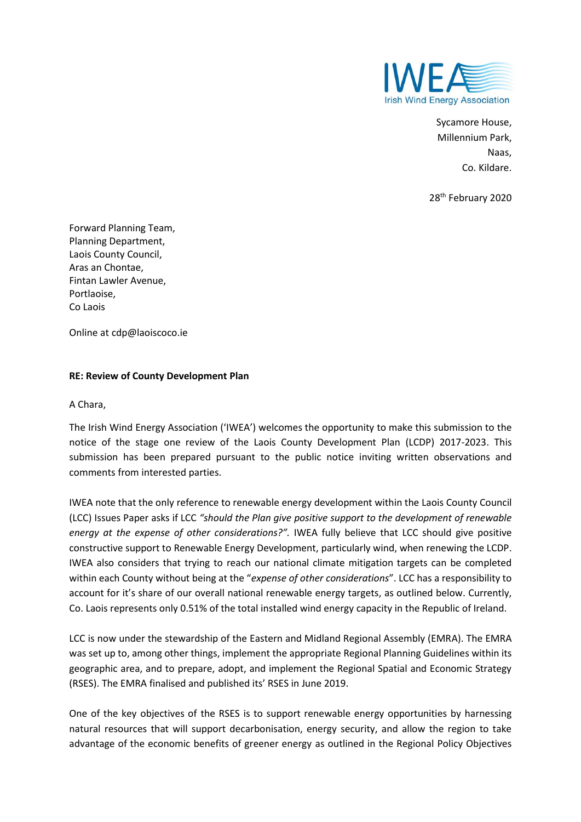

Sycamore House, Millennium Park, Naas, Co. Kildare.

28<sup>th</sup> February 2020

Forward Planning Team, Planning Department, Laois County Council, Aras an Chontae, Fintan Lawler Avenue, Portlaoise, Co Laois

Online at cdp@laoiscoco.ie

## **RE: Review of County Development Plan**

A Chara,

The Irish Wind Energy Association ('IWEA') welcomes the opportunity to make this submission to the notice of the stage one review of the Laois County Development Plan (LCDP) 2017-2023. This submission has been prepared pursuant to the public notice inviting written observations and comments from interested parties.

IWEA note that the only reference to renewable energy development within the Laois County Council (LCC) Issues Paper asks if LCC *"should the Plan give positive support to the development of renewable energy at the expense of other considerations?".* IWEA fully believe that LCC should give positive constructive support to Renewable Energy Development, particularly wind, when renewing the LCDP. IWEA also considers that trying to reach our national climate mitigation targets can be completed within each County without being at the "*expense of other considerations*". LCC has a responsibility to account for it's share of our overall national renewable energy targets, as outlined below. Currently, Co. Laois represents only 0.51% of the total installed wind energy capacity in the Republic of Ireland.

LCC is now under the stewardship of the Eastern and Midland Regional Assembly (EMRA). The EMRA was set up to, among other things, implement the appropriate Regional Planning Guidelines within its geographic area, and to prepare, adopt, and implement the Regional Spatial and Economic Strategy (RSES). The EMRA finalised and published its' RSES in June 2019.

One of the key objectives of the RSES is to support renewable energy opportunities by harnessing natural resources that will support decarbonisation, energy security, and allow the region to take advantage of the economic benefits of greener energy as outlined in the Regional Policy Objectives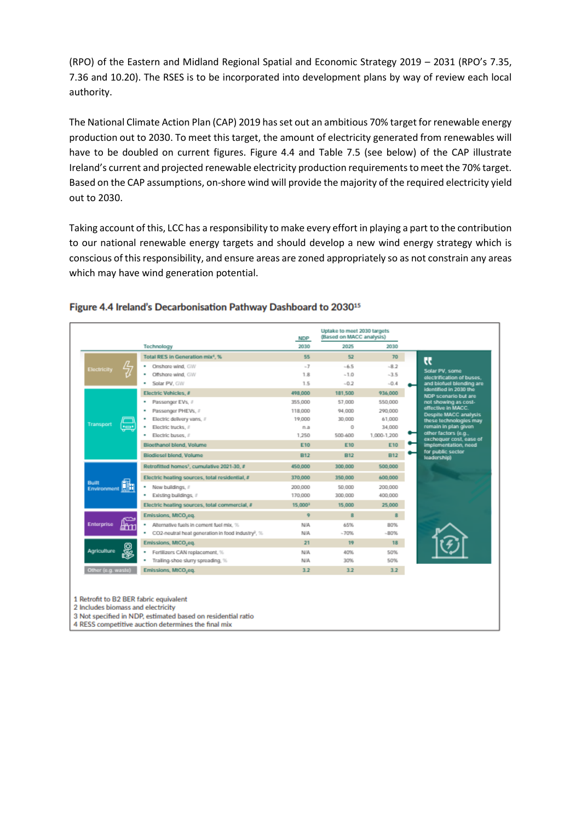(RPO) of the Eastern and Midland Regional Spatial and Economic Strategy 2019 – 2031 (RPO's 7.35, 7.36 and 10.20). The RSES is to be incorporated into development plans by way of review each local authority.

The National Climate Action Plan (CAP) 2019 has set out an ambitious 70% target for renewable energy production out to 2030. To meet this target, the amount of electricity generated from renewables will have to be doubled on current figures. Figure 4.4 and Table 7.5 (see below) of the CAP illustrate Ireland's current and projected renewable electricity production requirements to meet the 70% target. Based on the CAP assumptions, on-shore wind will provide the majority of the required electricity yield out to 2030.

Taking account of this, LCC has a responsibility to make every effort in playing a part to the contribution to our national renewable energy targets and should develop a new wind energy strategy which is conscious of this responsibility, and ensure areas are zoned appropriately so as not constrain any areas which may have wind generation potential.

|                                          |               |                                                                    | <b>NDP</b>          | Uptake to meet 2030 targets<br>(Based on MACC analysis) |             |                                                          |
|------------------------------------------|---------------|--------------------------------------------------------------------|---------------------|---------------------------------------------------------|-------------|----------------------------------------------------------|
|                                          |               | Technology                                                         | 2030                | 2025                                                    | 2030        |                                                          |
|                                          |               | Total RES in Generation mix <sup>4</sup> . %                       | 55                  | 52                                                      | 70          | æ                                                        |
| Electricity                              |               | Onshore wind. GW                                                   | $-7$                | $-6.5$                                                  | $-8.2$      |                                                          |
|                                          |               | Offshore wind, GW                                                  | 1.8                 | $-1.0$                                                  | $-3.5$      | Solar PV, some<br>electrification of buses.              |
|                                          |               | Solar PV, GW<br>٠                                                  | 1.5                 | $-0.2$                                                  | $-0.4$      | and biofuel blending are                                 |
|                                          | $\rightarrow$ | Electric Vehicles, #                                               | 498,000             | 181,500                                                 | 936,000     | identified in 2030 the<br>NDP scenario but are           |
|                                          |               | Passenger EVs, #                                                   | 355,000             | 57.000                                                  | 550,000     | not showing as cost-                                     |
|                                          |               | Passenger PHEVs, #                                                 | 118,000             | 94.000                                                  | 290,000     | effective in MACC.<br>Despite MACC analysis              |
|                                          |               | Electric delivery vans, #                                          | 19,000              | 30.000                                                  | 61,000      | these technologies may                                   |
| Transport                                |               | Electric trucks. #                                                 | n.a                 | 0                                                       | 34,000      | remain in plan given                                     |
|                                          |               | Electric buses, #<br>٠                                             | 1,250               | 500-600                                                 | 1,000-1,200 | other factors (e.g.,<br>exchequer cost, ease of          |
|                                          |               | Bioethanol blend, Volume                                           | E10                 | E10                                                     | E10         | implementation, need<br>for public sector<br>leadership) |
|                                          |               | Biodiesel blend, Volume                                            | <b>B12</b>          | <b>B12</b>                                              | <b>B12</b>  |                                                          |
|                                          |               | Retrofitted homes <sup>1</sup> , cumulative 2021-30, #             | 450,000             | 300.000                                                 | 500,000     |                                                          |
|                                          |               | Electric heating sources, total residential, #                     | 370,000             | 350,000                                                 | 600,000     |                                                          |
| <b>Built</b><br>Environment <sub>n</sub> |               | New buildings, #                                                   | 200,000             | 50.000                                                  | 200,000     |                                                          |
|                                          |               | · Existing buildings, #                                            | 170,000             | 300,000                                                 | 400,000     |                                                          |
|                                          |               | Electric heating sources, total commercial, #                      | 15.000 <sup>#</sup> | 15,000                                                  | 25,000      |                                                          |
|                                          |               | Emissions, MtCO.eq.                                                | $\overline{Q}$      | 8                                                       | 8           |                                                          |
| <b>Enterprise</b>                        |               | . Alternative fuels in cement fuel mix. %                          | N/A                 | 65%                                                     | 80%         |                                                          |
|                                          |               | CO2-neutral heat generation in food industry <sup>2</sup> , %<br>٠ | N/A                 | $-70%$                                                  | $-80%$      |                                                          |
|                                          | 9             | Emissions, MtCO.eq.                                                | 21                  | 19                                                      | 18          |                                                          |
| <b>Agriculture</b>                       |               | · Fertilizers CAN replacement, %                                   | N/A                 | 40%                                                     | 50%         |                                                          |
|                                          |               | Trailing-shoe slurry spreading, %                                  | N/A                 | 30%                                                     | 50%         |                                                          |
| Other (e.g. waste)                       |               | Emissions, MtCO,eq.                                                | 3.2                 | 3.2                                                     | 3.2         |                                                          |
|                                          |               |                                                                    |                     |                                                         |             |                                                          |

## Figure 4.4 Ireland's Decarbonisation Pathway Dashboard to 2030<sup>15</sup>

1 Retrofit to B2 BER fabric equivalent

2 Includes biomass and electricity

3 Not specified in NDP, estimated based on residential ratio

4 RESS competitive auction determines the final mix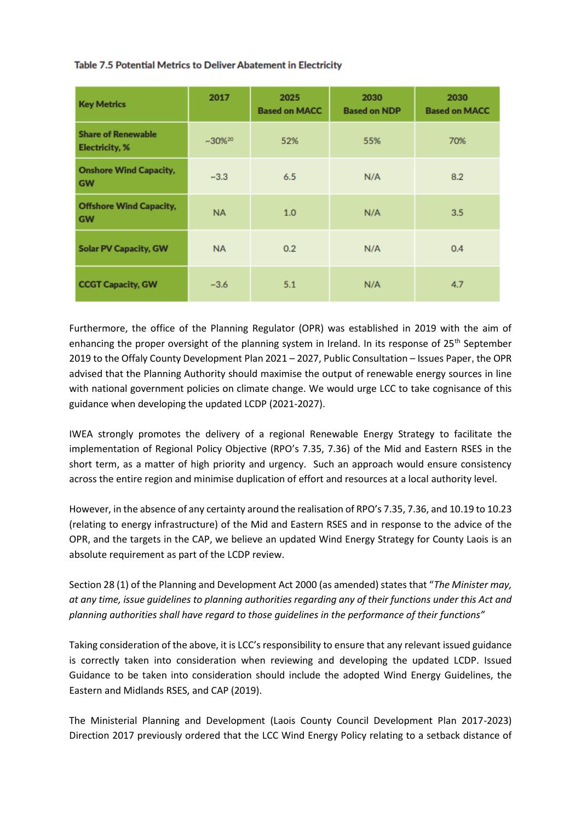**Table 7.5 Potential Metrics to Deliver Abatement in Electricity** 

| <b>Key Metrics</b>                                 | 2017                  | 2025<br><b>Based on MACC</b> | 2030<br><b>Based on NDP</b> | 2030<br><b>Based on MACC</b> |
|----------------------------------------------------|-----------------------|------------------------------|-----------------------------|------------------------------|
| <b>Share of Renewable</b><br><b>Electricity, %</b> | $~10\%$ <sup>20</sup> | 52%                          | 55%                         | 70%                          |
| <b>Onshore Wind Capacity,</b><br><b>GW</b>         | $-3.3$                | 6.5                          | N/A                         | 8.2                          |
| <b>Offshore Wind Capacity,</b><br><b>GW</b>        | <b>NA</b>             | 1.0 <sub>1</sub>             | N/A                         | 3.5                          |
| <b>Solar PV Capacity, GW</b>                       | <b>NA</b>             | 0.2                          | N/A                         | 0.4                          |
| <b>CCGT Capacity, GW</b>                           | $-3.6$                | 5.1                          | N/A                         | 4.7                          |

Furthermore, the office of the Planning Regulator (OPR) was established in 2019 with the aim of enhancing the proper oversight of the planning system in Ireland. In its response of 25<sup>th</sup> September 2019 to the Offaly County Development Plan 2021 – 2027, Public Consultation – Issues Paper, the OPR advised that the Planning Authority should maximise the output of renewable energy sources in line with national government policies on climate change. We would urge LCC to take cognisance of this guidance when developing the updated LCDP (2021-2027).

IWEA strongly promotes the delivery of a regional Renewable Energy Strategy to facilitate the implementation of Regional Policy Objective (RPO's 7.35, 7.36) of the Mid and Eastern RSES in the short term, as a matter of high priority and urgency. Such an approach would ensure consistency across the entire region and minimise duplication of effort and resources at a local authority level.

However, in the absence of any certainty around the realisation of RPO's 7.35, 7.36, and 10.19 to 10.23 (relating to energy infrastructure) of the Mid and Eastern RSES and in response to the advice of the OPR, and the targets in the CAP, we believe an updated Wind Energy Strategy for County Laois is an absolute requirement as part of the LCDP review.

Section 28 (1) of the Planning and Development Act 2000 (as amended) states that "*The Minister may, at any time, issue guidelines to planning authorities regarding any of their functions under this Act and planning authorities shall have regard to those guidelines in the performance of their functions"* 

Taking consideration of the above, it is LCC's responsibility to ensure that any relevant issued guidance is correctly taken into consideration when reviewing and developing the updated LCDP. Issued Guidance to be taken into consideration should include the adopted Wind Energy Guidelines, the Eastern and Midlands RSES, and CAP (2019).

The Ministerial Planning and Development (Laois County Council Development Plan 2017-2023) Direction 2017 previously ordered that the LCC Wind Energy Policy relating to a setback distance of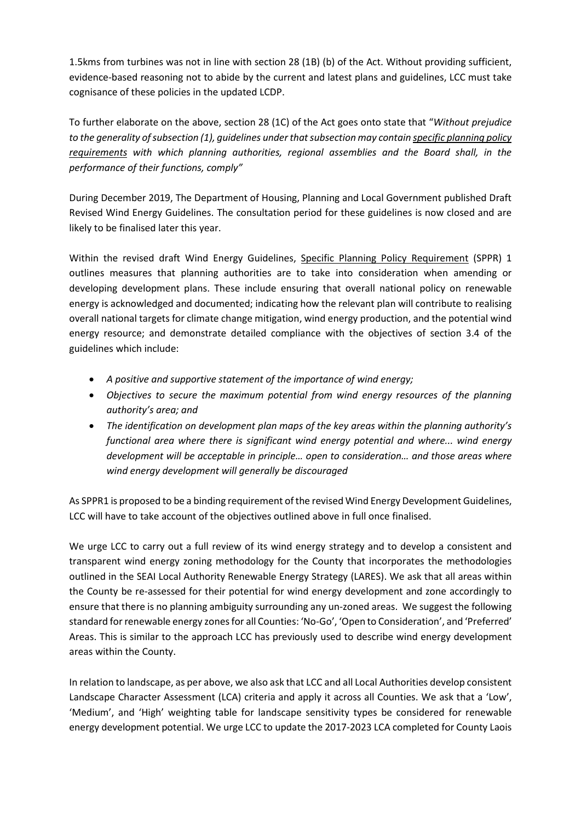1.5kms from turbines was not in line with section 28 (1B) (b) of the Act. Without providing sufficient, evidence-based reasoning not to abide by the current and latest plans and guidelines, LCC must take cognisance of these policies in the updated LCDP.

To further elaborate on the above, section 28 (1C) of the Act goes onto state that "*Without prejudice to the generality of subsection (1), guidelines under that subsection may contain specific planning policy requirements with which planning authorities, regional assemblies and the Board shall, in the performance of their functions, comply"*

During December 2019, The Department of Housing, Planning and Local Government published Draft Revised Wind Energy Guidelines. The consultation period for these guidelines is now closed and are likely to be finalised later this year.

Within the revised draft Wind Energy Guidelines, Specific Planning Policy Requirement (SPPR) 1 outlines measures that planning authorities are to take into consideration when amending or developing development plans. These include ensuring that overall national policy on renewable energy is acknowledged and documented; indicating how the relevant plan will contribute to realising overall national targets for climate change mitigation, wind energy production, and the potential wind energy resource; and demonstrate detailed compliance with the objectives of section 3.4 of the guidelines which include:

- *A positive and supportive statement of the importance of wind energy;*
- *Objectives to secure the maximum potential from wind energy resources of the planning authority's area; and*
- *The identification on development plan maps of the key areas within the planning authority's functional area where there is significant wind energy potential and where... wind energy development will be acceptable in principle… open to consideration… and those areas where wind energy development will generally be discouraged*

As SPPR1 is proposed to be a binding requirement of the revised Wind Energy Development Guidelines, LCC will have to take account of the objectives outlined above in full once finalised.

We urge LCC to carry out a full review of its wind energy strategy and to develop a consistent and transparent wind energy zoning methodology for the County that incorporates the methodologies outlined in the SEAI Local Authority Renewable Energy Strategy (LARES). We ask that all areas within the County be re-assessed for their potential for wind energy development and zone accordingly to ensure that there is no planning ambiguity surrounding any un-zoned areas. We suggest the following standard for renewable energy zonesfor all Counties: 'No-Go', 'Open to Consideration', and 'Preferred' Areas. This is similar to the approach LCC has previously used to describe wind energy development areas within the County.

In relation to landscape, as per above, we also ask that LCC and all Local Authorities develop consistent Landscape Character Assessment (LCA) criteria and apply it across all Counties. We ask that a 'Low', 'Medium', and 'High' weighting table for landscape sensitivity types be considered for renewable energy development potential. We urge LCC to update the 2017-2023 LCA completed for County Laois